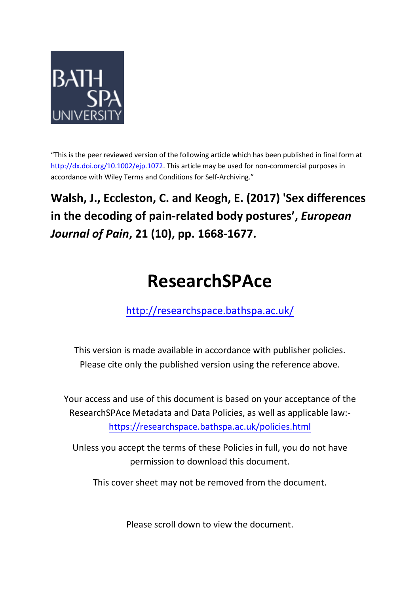

"This is the peer reviewed version of the following article which has been published in final form at [http://dx.doi.org/10.1002/ejp.1072.](http://dx.doi.org/10.1002/ejp.1072) This article may be used for non-commercial purposes in accordance with Wiley Terms and Conditions for Self-Archiving."

**Walsh, J., Eccleston, C. and Keogh, E. (2017) 'Sex differences in the decoding of pain-related body postures' ,** *European Journal of Pain***, 21 (10), pp. 1668-1677.**

# **ResearchSPAce**

<http://researchspace.bathspa.ac.uk/>

This version is made available in accordance with publisher policies. Please cite only the published version using the reference above.

Your access and use of this document is based on your acceptance of the ResearchSPAce Metadata and Data Policies, as well as applicable law: https://researchspace.bathspa.ac.uk/policies.html

Unless you accept the terms of these Policies in full, you do not have permission to download this document.

This cover sheet may not be removed from the document.

Please scroll down to view the document.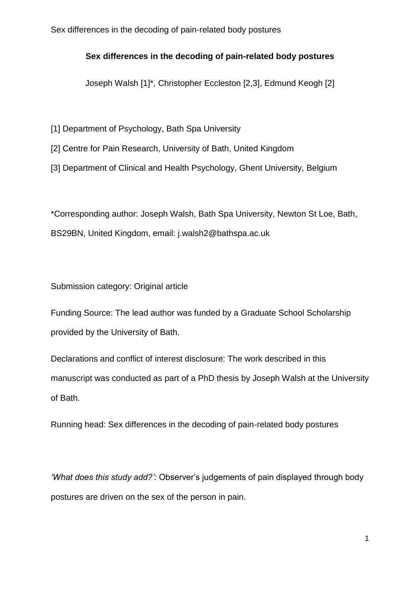# **Sex differences in the decoding of pain-related body postures**

Joseph Walsh [1]\*, Christopher Eccleston [2,3], Edmund Keogh [2]

[1] Department of Psychology, Bath Spa University

[2] Centre for Pain Research, University of Bath, United Kingdom

[3] Department of Clinical and Health Psychology, Ghent University, Belgium

\*Corresponding author: Joseph Walsh, Bath Spa University, Newton St Loe, Bath, BS29BN, United Kingdom, email: j.walsh2@bathspa.ac.uk

Submission category: Original article

Funding Source: The lead author was funded by a Graduate School Scholarship provided by the University of Bath.

Declarations and conflict of interest disclosure: The work described in this manuscript was conducted as part of a PhD thesis by Joseph Walsh at the University of Bath.

Running head: Sex differences in the decoding of pain-related body postures

*'What does this study add?':* Observer's judgements of pain displayed through body postures are driven on the sex of the person in pain.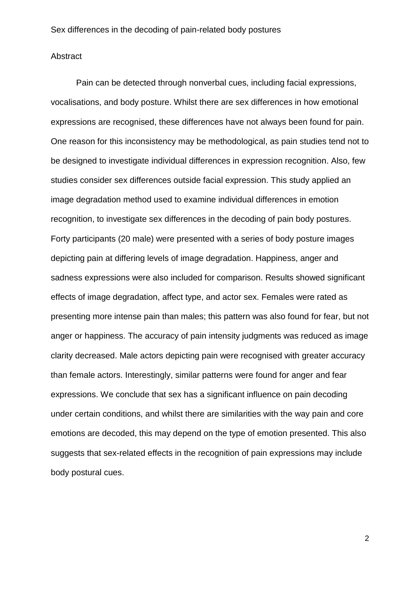#### Abstract

Pain can be detected through nonverbal cues, including facial expressions, vocalisations, and body posture. Whilst there are sex differences in how emotional expressions are recognised, these differences have not always been found for pain. One reason for this inconsistency may be methodological, as pain studies tend not to be designed to investigate individual differences in expression recognition. Also, few studies consider sex differences outside facial expression. This study applied an image degradation method used to examine individual differences in emotion recognition, to investigate sex differences in the decoding of pain body postures. Forty participants (20 male) were presented with a series of body posture images depicting pain at differing levels of image degradation. Happiness, anger and sadness expressions were also included for comparison. Results showed significant effects of image degradation, affect type, and actor sex. Females were rated as presenting more intense pain than males; this pattern was also found for fear, but not anger or happiness. The accuracy of pain intensity judgments was reduced as image clarity decreased. Male actors depicting pain were recognised with greater accuracy than female actors. Interestingly, similar patterns were found for anger and fear expressions. We conclude that sex has a significant influence on pain decoding under certain conditions, and whilst there are similarities with the way pain and core emotions are decoded, this may depend on the type of emotion presented. This also suggests that sex-related effects in the recognition of pain expressions may include body postural cues.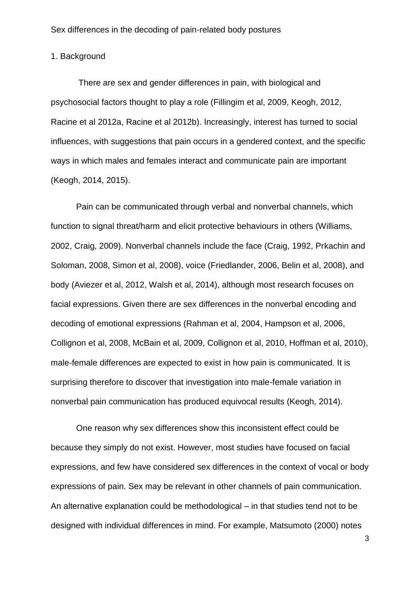# 1. Background

There are sex and gender differences in pain, with biological and psychosocial factors thought to play a role (Fillingim et al, 2009, Keogh, 2012, Racine et al 2012a, Racine et al 2012b). Increasingly, interest has turned to social influences, with suggestions that pain occurs in a gendered context, and the specific ways in which males and females interact and communicate pain are important (Keogh, 2014, 2015).

Pain can be communicated through verbal and nonverbal channels, which function to signal threat/harm and elicit protective behaviours in others (Williams, 2002, Craig, 2009). Nonverbal channels include the face (Craig, 1992, Prkachin and Soloman, 2008, Simon et al, 2008), voice (Friedlander, 2006, Belin et al, 2008), and body (Aviezer et al, 2012, Walsh et al, 2014), although most research focuses on facial expressions. Given there are sex differences in the nonverbal encoding and decoding of emotional expressions (Rahman et al, 2004, Hampson et al, 2006, Collignon et al, 2008, McBain et al, 2009, Collignon et al, 2010, Hoffman et al, 2010), male-female differences are expected to exist in how pain is communicated. It is surprising therefore to discover that investigation into male-female variation in nonverbal pain communication has produced equivocal results (Keogh, 2014).

One reason why sex differences show this inconsistent effect could be because they simply do not exist. However, most studies have focused on facial expressions, and few have considered sex differences in the context of vocal or body expressions of pain. Sex may be relevant in other channels of pain communication. An alternative explanation could be methodological – in that studies tend not to be designed with individual differences in mind. For example, Matsumoto (2000) notes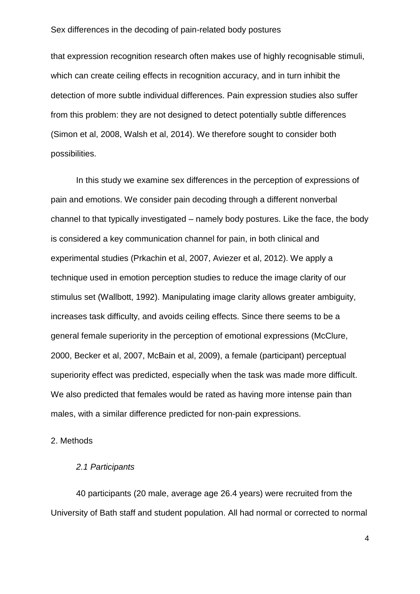that expression recognition research often makes use of highly recognisable stimuli, which can create ceiling effects in recognition accuracy, and in turn inhibit the detection of more subtle individual differences. Pain expression studies also suffer from this problem: they are not designed to detect potentially subtle differences (Simon et al, 2008, Walsh et al, 2014). We therefore sought to consider both possibilities.

In this study we examine sex differences in the perception of expressions of pain and emotions. We consider pain decoding through a different nonverbal channel to that typically investigated – namely body postures. Like the face, the body is considered a key communication channel for pain, in both clinical and experimental studies (Prkachin et al, 2007, Aviezer et al, 2012). We apply a technique used in emotion perception studies to reduce the image clarity of our stimulus set (Wallbott, 1992). Manipulating image clarity allows greater ambiguity, increases task difficulty, and avoids ceiling effects. Since there seems to be a general female superiority in the perception of emotional expressions (McClure, 2000, Becker et al, 2007, McBain et al, 2009), a female (participant) perceptual superiority effect was predicted, especially when the task was made more difficult. We also predicted that females would be rated as having more intense pain than males, with a similar difference predicted for non-pain expressions.

#### 2. Methods

# *2.1 Participants*

40 participants (20 male, average age 26.4 years) were recruited from the University of Bath staff and student population. All had normal or corrected to normal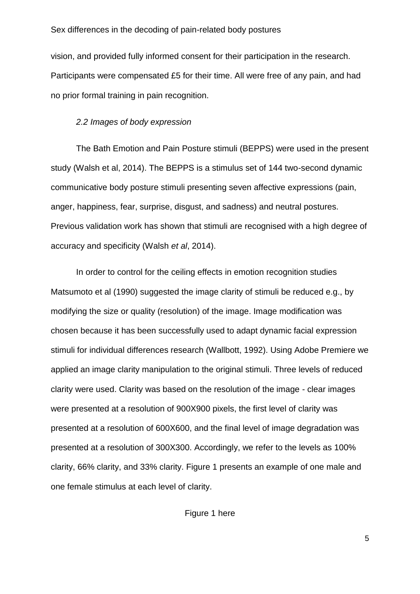vision, and provided fully informed consent for their participation in the research. Participants were compensated £5 for their time. All were free of any pain, and had no prior formal training in pain recognition.

#### *2.2 Images of body expression*

The Bath Emotion and Pain Posture stimuli (BEPPS) were used in the present study (Walsh et al, 2014). The BEPPS is a stimulus set of 144 two-second dynamic communicative body posture stimuli presenting seven affective expressions (pain, anger, happiness, fear, surprise, disgust, and sadness) and neutral postures. Previous validation work has shown that stimuli are recognised with a high degree of accuracy and specificity (Walsh *et al*, 2014).

In order to control for the ceiling effects in emotion recognition studies Matsumoto et al (1990) suggested the image clarity of stimuli be reduced e.g., by modifying the size or quality (resolution) of the image. Image modification was chosen because it has been successfully used to adapt dynamic facial expression stimuli for individual differences research (Wallbott, 1992). Using Adobe Premiere we applied an image clarity manipulation to the original stimuli. Three levels of reduced clarity were used. Clarity was based on the resolution of the image - clear images were presented at a resolution of 900X900 pixels, the first level of clarity was presented at a resolution of 600X600, and the final level of image degradation was presented at a resolution of 300X300. Accordingly, we refer to the levels as 100% clarity, 66% clarity, and 33% clarity. Figure 1 presents an example of one male and one female stimulus at each level of clarity.

Figure 1 here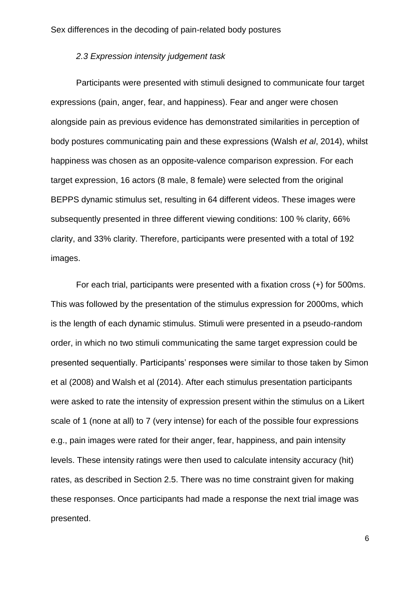# *2.3 Expression intensity judgement task*

Participants were presented with stimuli designed to communicate four target expressions (pain, anger, fear, and happiness). Fear and anger were chosen alongside pain as previous evidence has demonstrated similarities in perception of body postures communicating pain and these expressions (Walsh *et al*, 2014), whilst happiness was chosen as an opposite-valence comparison expression. For each target expression, 16 actors (8 male, 8 female) were selected from the original BEPPS dynamic stimulus set, resulting in 64 different videos. These images were subsequently presented in three different viewing conditions: 100 % clarity, 66% clarity, and 33% clarity. Therefore, participants were presented with a total of 192 images.

For each trial, participants were presented with a fixation cross (+) for 500ms. This was followed by the presentation of the stimulus expression for 2000ms, which is the length of each dynamic stimulus. Stimuli were presented in a pseudo-random order, in which no two stimuli communicating the same target expression could be presented sequentially. Participants' responses were similar to those taken by Simon et al (2008) and Walsh et al (2014). After each stimulus presentation participants were asked to rate the intensity of expression present within the stimulus on a Likert scale of 1 (none at all) to 7 (very intense) for each of the possible four expressions e.g., pain images were rated for their anger, fear, happiness, and pain intensity levels. These intensity ratings were then used to calculate intensity accuracy (hit) rates, as described in Section 2.5. There was no time constraint given for making these responses. Once participants had made a response the next trial image was presented.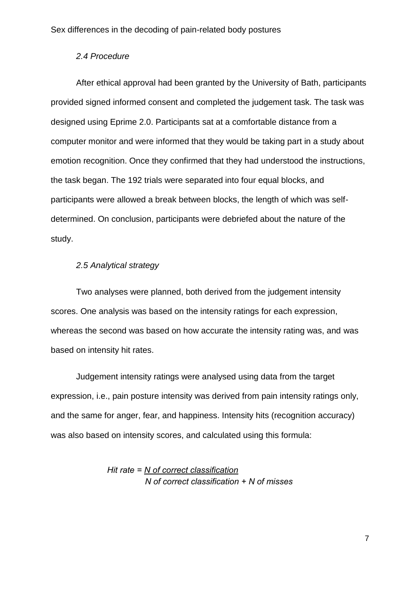# *2.4 Procedure*

After ethical approval had been granted by the University of Bath, participants provided signed informed consent and completed the judgement task. The task was designed using Eprime 2.0. Participants sat at a comfortable distance from a computer monitor and were informed that they would be taking part in a study about emotion recognition. Once they confirmed that they had understood the instructions, the task began. The 192 trials were separated into four equal blocks, and participants were allowed a break between blocks, the length of which was selfdetermined. On conclusion, participants were debriefed about the nature of the study.

## *2.5 Analytical strategy*

Two analyses were planned, both derived from the judgement intensity scores. One analysis was based on the intensity ratings for each expression, whereas the second was based on how accurate the intensity rating was, and was based on intensity hit rates.

Judgement intensity ratings were analysed using data from the target expression, i.e., pain posture intensity was derived from pain intensity ratings only, and the same for anger, fear, and happiness. Intensity hits (recognition accuracy) was also based on intensity scores, and calculated using this formula:

> *Hit rate = N of correct classification N of correct classification + N of misses*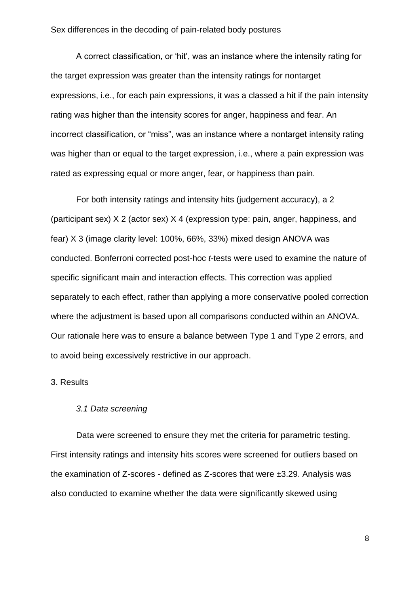A correct classification, or 'hit', was an instance where the intensity rating for the target expression was greater than the intensity ratings for nontarget expressions, i.e., for each pain expressions, it was a classed a hit if the pain intensity rating was higher than the intensity scores for anger, happiness and fear. An incorrect classification, or "miss", was an instance where a nontarget intensity rating was higher than or equal to the target expression, i.e., where a pain expression was rated as expressing equal or more anger, fear, or happiness than pain.

For both intensity ratings and intensity hits (judgement accuracy), a 2 (participant sex) X 2 (actor sex) X 4 (expression type: pain, anger, happiness, and fear) X 3 (image clarity level: 100%, 66%, 33%) mixed design ANOVA was conducted. Bonferroni corrected post-hoc *t*-tests were used to examine the nature of specific significant main and interaction effects. This correction was applied separately to each effect, rather than applying a more conservative pooled correction where the adjustment is based upon all comparisons conducted within an ANOVA. Our rationale here was to ensure a balance between Type 1 and Type 2 errors, and to avoid being excessively restrictive in our approach.

# 3. Results

#### *3.1 Data screening*

Data were screened to ensure they met the criteria for parametric testing. First intensity ratings and intensity hits scores were screened for outliers based on the examination of Z-scores - defined as Z-scores that were ±3.29. Analysis was also conducted to examine whether the data were significantly skewed using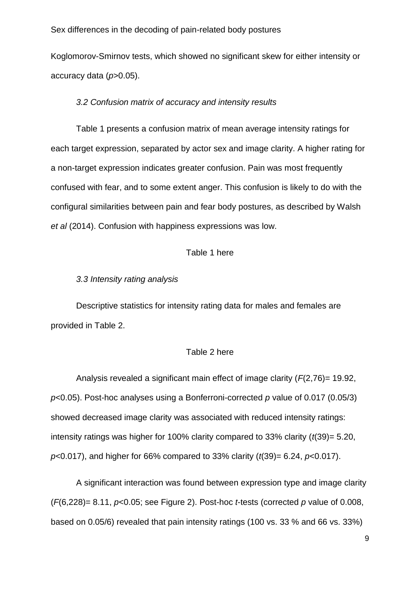Koglomorov-Smirnov tests, which showed no significant skew for either intensity or accuracy data (*p*>0.05).

#### *3.2 Confusion matrix of accuracy and intensity results*

Table 1 presents a confusion matrix of mean average intensity ratings for each target expression, separated by actor sex and image clarity. A higher rating for a non-target expression indicates greater confusion. Pain was most frequently confused with fear, and to some extent anger. This confusion is likely to do with the configural similarities between pain and fear body postures, as described by Walsh *et al* (2014). Confusion with happiness expressions was low.

# Table 1 here

*3.3 Intensity rating analysis*

Descriptive statistics for intensity rating data for males and females are provided in Table 2.

# Table 2 here

Analysis revealed a significant main effect of image clarity (*F*(2,76)= 19.92, *p*<0.05). Post-hoc analyses using a Bonferroni-corrected *p* value of 0.017 (0.05/3) showed decreased image clarity was associated with reduced intensity ratings: intensity ratings was higher for 100% clarity compared to 33% clarity (*t*(39)= 5.20, *p*<0.017), and higher for 66% compared to 33% clarity (*t*(39)= 6.24, *p*<0.017).

A significant interaction was found between expression type and image clarity (*F*(6,228)= 8.11, *p*<0.05; see Figure 2). Post-hoc *t*-tests (corrected *p* value of 0.008, based on 0.05/6) revealed that pain intensity ratings (100 vs. 33 % and 66 vs. 33%)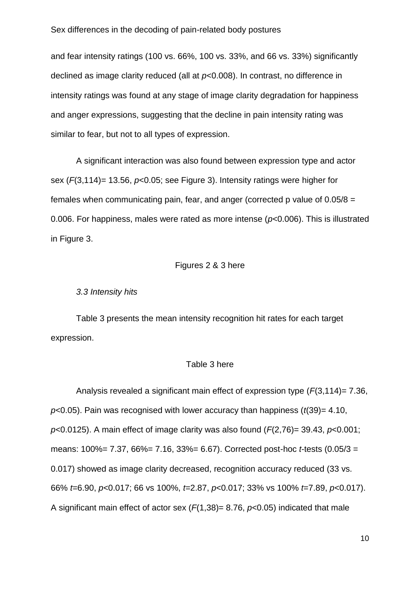and fear intensity ratings (100 vs. 66%, 100 vs. 33%, and 66 vs. 33%) significantly declined as image clarity reduced (all at *p*<0.008). In contrast, no difference in intensity ratings was found at any stage of image clarity degradation for happiness and anger expressions, suggesting that the decline in pain intensity rating was similar to fear, but not to all types of expression.

A significant interaction was also found between expression type and actor sex (*F*(3,114)= 13.56, *p*<0.05; see Figure 3). Intensity ratings were higher for females when communicating pain, fear, and anger (corrected p value of 0.05/8 = 0.006. For happiness, males were rated as more intense (*p*<0.006). This is illustrated in Figure 3.

#### Figures 2 & 3 here

#### *3.3 Intensity hits*

Table 3 presents the mean intensity recognition hit rates for each target expression.

#### Table 3 here

Analysis revealed a significant main effect of expression type (*F*(3,114)= 7.36, *p*<0.05). Pain was recognised with lower accuracy than happiness (*t*(39)= 4.10, *p*<0.0125). A main effect of image clarity was also found (*F*(2,76)= 39.43, *p*<0.001; means: 100%= 7.37, 66%= 7.16, 33%= 6.67). Corrected post-hoc *t*-tests (0.05/3 = 0.017) showed as image clarity decreased, recognition accuracy reduced (33 vs. 66% *t*=6.90, *p*<0.017; 66 vs 100%, *t*=2.87, *p*<0.017; 33% vs 100% *t*=7.89, *p*<0.017). A significant main effect of actor sex (*F*(1,38)= 8.76, *p*<0.05) indicated that male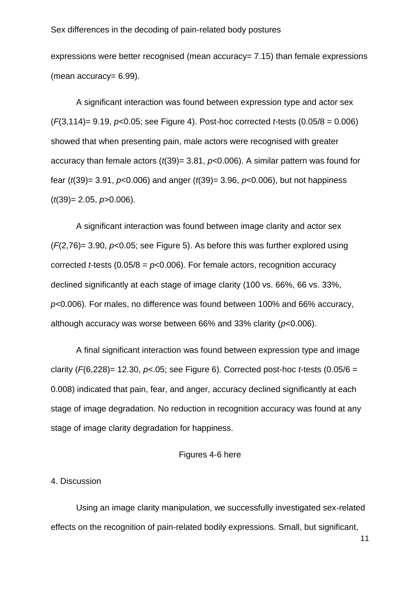expressions were better recognised (mean accuracy= 7.15) than female expressions (mean accuracy= 6.99).

A significant interaction was found between expression type and actor sex (*F*(3,114)= 9.19, *p*<0.05; see Figure 4). Post-hoc corrected *t*-tests (0.05/8 = 0.006) showed that when presenting pain, male actors were recognised with greater accuracy than female actors (*t*(39)= 3.81, *p*<0.006). A similar pattern was found for fear (*t*(39)= 3.91, *p*<0.006) and anger (*t*(39)= 3.96, *p*<0.006), but not happiness (*t*(39)= 2.05, *p*>0.006).

A significant interaction was found between image clarity and actor sex (*F*(2,76)= 3.90, *p*<0.05; see Figure 5). As before this was further explored using corrected *t*-tests (0.05/8 = *p*<0.006). For female actors, recognition accuracy declined significantly at each stage of image clarity (100 vs. 66%, 66 vs. 33%, *p*<0.006). For males, no difference was found between 100% and 66% accuracy, although accuracy was worse between 66% and 33% clarity (*p*<0.006).

A final significant interaction was found between expression type and image clarity (*F*(6,228)= 12.30, *p*<.05; see Figure 6). Corrected post-hoc *t*-tests (0.05/6 = 0.008) indicated that pain, fear, and anger, accuracy declined significantly at each stage of image degradation. No reduction in recognition accuracy was found at any stage of image clarity degradation for happiness.

# Figures 4-6 here

#### 4. Discussion

Using an image clarity manipulation, we successfully investigated sex-related effects on the recognition of pain-related bodily expressions. Small, but significant,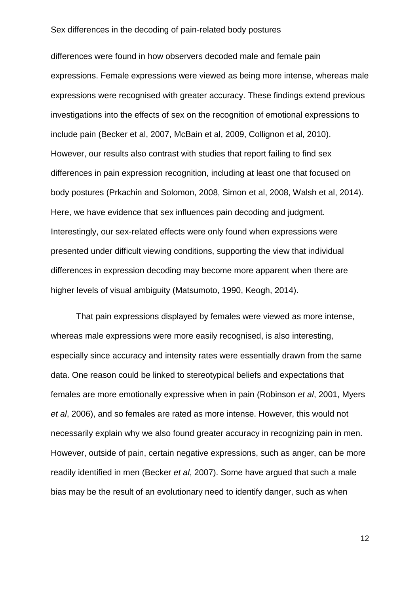differences were found in how observers decoded male and female pain expressions. Female expressions were viewed as being more intense, whereas male expressions were recognised with greater accuracy. These findings extend previous investigations into the effects of sex on the recognition of emotional expressions to include pain (Becker et al, 2007, McBain et al, 2009, Collignon et al, 2010). However, our results also contrast with studies that report failing to find sex differences in pain expression recognition, including at least one that focused on body postures (Prkachin and Solomon, 2008, Simon et al, 2008, Walsh et al, 2014). Here, we have evidence that sex influences pain decoding and judgment. Interestingly, our sex-related effects were only found when expressions were presented under difficult viewing conditions, supporting the view that individual differences in expression decoding may become more apparent when there are higher levels of visual ambiguity (Matsumoto, 1990, Keogh, 2014).

That pain expressions displayed by females were viewed as more intense, whereas male expressions were more easily recognised, is also interesting, especially since accuracy and intensity rates were essentially drawn from the same data. One reason could be linked to stereotypical beliefs and expectations that females are more emotionally expressive when in pain (Robinson *et al*, 2001, Myers *et al*, 2006), and so females are rated as more intense. However, this would not necessarily explain why we also found greater accuracy in recognizing pain in men. However, outside of pain, certain negative expressions, such as anger, can be more readily identified in men (Becker *et al*, 2007). Some have argued that such a male bias may be the result of an evolutionary need to identify danger, such as when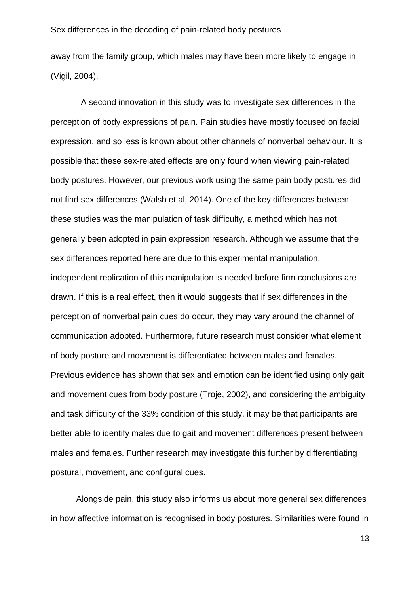away from the family group, which males may have been more likely to engage in (Vigil, 2004).

 A second innovation in this study was to investigate sex differences in the perception of body expressions of pain. Pain studies have mostly focused on facial expression, and so less is known about other channels of nonverbal behaviour. It is possible that these sex-related effects are only found when viewing pain-related body postures. However, our previous work using the same pain body postures did not find sex differences (Walsh et al, 2014). One of the key differences between these studies was the manipulation of task difficulty, a method which has not generally been adopted in pain expression research. Although we assume that the sex differences reported here are due to this experimental manipulation, independent replication of this manipulation is needed before firm conclusions are drawn. If this is a real effect, then it would suggests that if sex differences in the perception of nonverbal pain cues do occur, they may vary around the channel of communication adopted. Furthermore, future research must consider what element of body posture and movement is differentiated between males and females. Previous evidence has shown that sex and emotion can be identified using only gait and movement cues from body posture (Troje, 2002), and considering the ambiguity and task difficulty of the 33% condition of this study, it may be that participants are better able to identify males due to gait and movement differences present between males and females. Further research may investigate this further by differentiating postural, movement, and configural cues.

Alongside pain, this study also informs us about more general sex differences in how affective information is recognised in body postures. Similarities were found in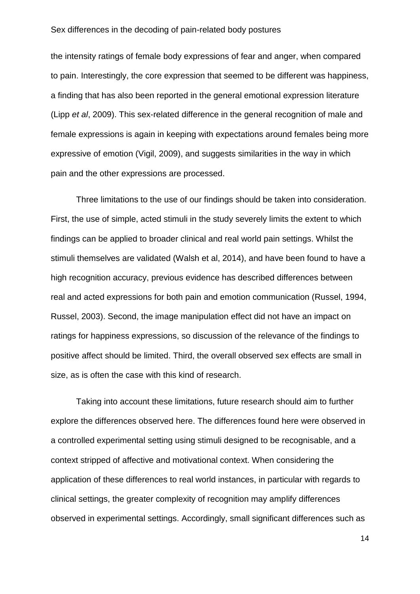the intensity ratings of female body expressions of fear and anger, when compared to pain. Interestingly, the core expression that seemed to be different was happiness, a finding that has also been reported in the general emotional expression literature (Lipp *et al*, 2009). This sex-related difference in the general recognition of male and female expressions is again in keeping with expectations around females being more expressive of emotion (Vigil, 2009), and suggests similarities in the way in which pain and the other expressions are processed.

Three limitations to the use of our findings should be taken into consideration. First, the use of simple, acted stimuli in the study severely limits the extent to which findings can be applied to broader clinical and real world pain settings. Whilst the stimuli themselves are validated (Walsh et al, 2014), and have been found to have a high recognition accuracy, previous evidence has described differences between real and acted expressions for both pain and emotion communication (Russel, 1994, Russel, 2003). Second, the image manipulation effect did not have an impact on ratings for happiness expressions, so discussion of the relevance of the findings to positive affect should be limited. Third, the overall observed sex effects are small in size, as is often the case with this kind of research.

Taking into account these limitations, future research should aim to further explore the differences observed here. The differences found here were observed in a controlled experimental setting using stimuli designed to be recognisable, and a context stripped of affective and motivational context. When considering the application of these differences to real world instances, in particular with regards to clinical settings, the greater complexity of recognition may amplify differences observed in experimental settings. Accordingly, small significant differences such as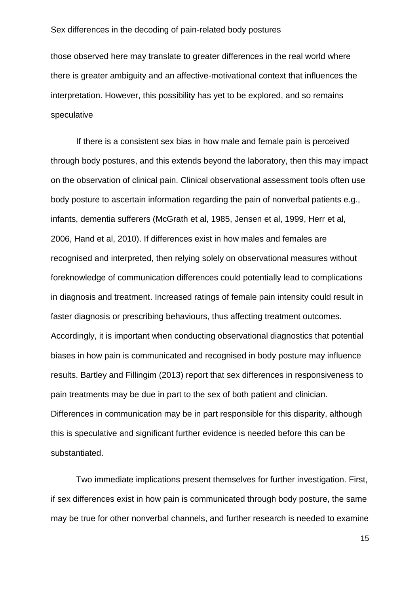those observed here may translate to greater differences in the real world where there is greater ambiguity and an affective-motivational context that influences the interpretation. However, this possibility has yet to be explored, and so remains speculative

If there is a consistent sex bias in how male and female pain is perceived through body postures, and this extends beyond the laboratory, then this may impact on the observation of clinical pain. Clinical observational assessment tools often use body posture to ascertain information regarding the pain of nonverbal patients e.g., infants, dementia sufferers (McGrath et al, 1985, Jensen et al, 1999, Herr et al, 2006, Hand et al, 2010). If differences exist in how males and females are recognised and interpreted, then relying solely on observational measures without foreknowledge of communication differences could potentially lead to complications in diagnosis and treatment. Increased ratings of female pain intensity could result in faster diagnosis or prescribing behaviours, thus affecting treatment outcomes. Accordingly, it is important when conducting observational diagnostics that potential biases in how pain is communicated and recognised in body posture may influence results. Bartley and Fillingim (2013) report that sex differences in responsiveness to pain treatments may be due in part to the sex of both patient and clinician. Differences in communication may be in part responsible for this disparity, although this is speculative and significant further evidence is needed before this can be substantiated.

Two immediate implications present themselves for further investigation. First, if sex differences exist in how pain is communicated through body posture, the same may be true for other nonverbal channels, and further research is needed to examine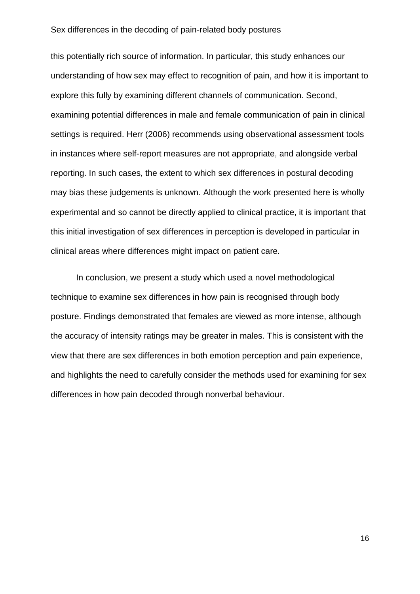this potentially rich source of information. In particular, this study enhances our understanding of how sex may effect to recognition of pain, and how it is important to explore this fully by examining different channels of communication. Second, examining potential differences in male and female communication of pain in clinical settings is required. Herr (2006) recommends using observational assessment tools in instances where self-report measures are not appropriate, and alongside verbal reporting. In such cases, the extent to which sex differences in postural decoding may bias these judgements is unknown. Although the work presented here is wholly experimental and so cannot be directly applied to clinical practice, it is important that this initial investigation of sex differences in perception is developed in particular in clinical areas where differences might impact on patient care.

In conclusion, we present a study which used a novel methodological technique to examine sex differences in how pain is recognised through body posture. Findings demonstrated that females are viewed as more intense, although the accuracy of intensity ratings may be greater in males. This is consistent with the view that there are sex differences in both emotion perception and pain experience, and highlights the need to carefully consider the methods used for examining for sex differences in how pain decoded through nonverbal behaviour.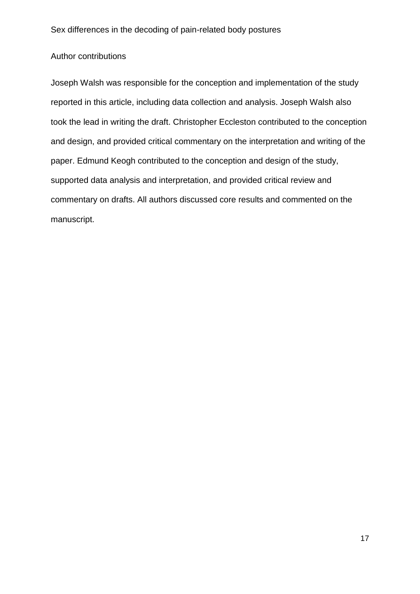# Author contributions

Joseph Walsh was responsible for the conception and implementation of the study reported in this article, including data collection and analysis. Joseph Walsh also took the lead in writing the draft. Christopher Eccleston contributed to the conception and design, and provided critical commentary on the interpretation and writing of the paper. Edmund Keogh contributed to the conception and design of the study, supported data analysis and interpretation, and provided critical review and commentary on drafts. All authors discussed core results and commented on the manuscript.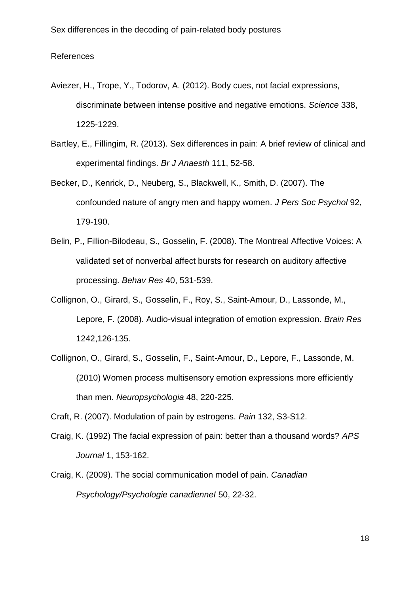# References

- Aviezer, H., Trope, Y., Todorov, A. (2012). Body cues, not facial expressions, discriminate between intense positive and negative emotions. *Science* 338, 1225-1229.
- Bartley, E., Fillingim, R. (2013). Sex differences in pain: A brief review of clinical and experimental findings. *Br J Anaesth* 111, 52-58.
- Becker, D., Kenrick, D., Neuberg, S., Blackwell, K., Smith, D. (2007). The confounded nature of angry men and happy women. *J Pers Soc Psychol* 92, 179-190.
- Belin, P., Fillion-Bilodeau, S., Gosselin, F. (2008). The Montreal Affective Voices: A validated set of nonverbal affect bursts for research on auditory affective processing. *Behav Res* 40, 531-539.
- Collignon, O., Girard, S., Gosselin, F., Roy, S., Saint-Amour, D., Lassonde, M., Lepore, F. (2008). Audio-visual integration of emotion expression. *Brain Res*  1242,126-135.
- Collignon, O., Girard, S., Gosselin, F., Saint-Amour, D., Lepore, F., Lassonde, M. (2010) Women process multisensory emotion expressions more efficiently than men. *Neuropsychologia* 48, 220-225.

Craft, R. (2007). Modulation of pain by estrogens. *Pain* 132, S3-S12.

- Craig, K. (1992) The facial expression of pain: better than a thousand words? *APS Journal* 1, 153-162.
- Craig, K. (2009). The social communication model of pain. *Canadian Psychology/Psychologie canadienneI* 50, 22-32.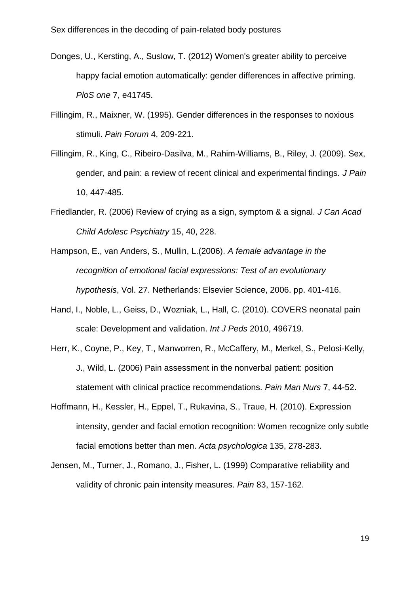- Donges, U., Kersting, A., Suslow, T. (2012) Women's greater ability to perceive happy facial emotion automatically: gender differences in affective priming. *PloS one* 7, e41745.
- Fillingim, R., Maixner, W. (1995). Gender differences in the responses to noxious stimuli. *Pain Forum* 4, 209-221.
- Fillingim, R., King, C., Ribeiro-Dasilva, M., Rahim-Williams, B., Riley, J. (2009). Sex, gender, and pain: a review of recent clinical and experimental findings. *J Pain* 10, 447-485.
- Friedlander, R. (2006) Review of crying as a sign, symptom & a signal. *J Can Acad Child Adolesc Psychiatry* 15, 40, 228.
- Hampson, E., van Anders, S., Mullin, L.(2006). *A female advantage in the recognition of emotional facial expressions: Test of an evolutionary hypothesis*, Vol. 27. Netherlands: Elsevier Science, 2006. pp. 401-416.
- Hand, I., Noble, L., Geiss, D., Wozniak, L., Hall, C. (2010). COVERS neonatal pain scale: Development and validation. *Int J Peds* 2010, 496719.
- Herr, K., Coyne, P., Key, T., Manworren, R., McCaffery, M., Merkel, S., Pelosi-Kelly, J., Wild, L. (2006) Pain assessment in the nonverbal patient: position statement with clinical practice recommendations. *Pain Man Nurs* 7, 44-52.
- Hoffmann, H., Kessler, H., Eppel, T., Rukavina, S., Traue, H. (2010). Expression intensity, gender and facial emotion recognition: Women recognize only subtle facial emotions better than men. *Acta psychologica* 135, 278-283.
- Jensen, M., Turner, J., Romano, J., Fisher, L. (1999) Comparative reliability and validity of chronic pain intensity measures. *Pain* 83, 157-162.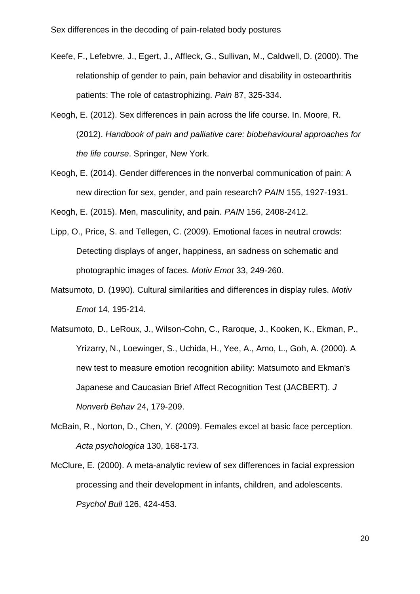- Keefe, F., Lefebvre, J., Egert, J., Affleck, G., Sullivan, M., Caldwell, D. (2000). The relationship of gender to pain, pain behavior and disability in osteoarthritis patients: The role of catastrophizing. *Pain* 87, 325-334.
- Keogh, E. (2012). Sex differences in pain across the life course. In. Moore, R. (2012). *Handbook of pain and palliative care: biobehavioural approaches for the life course*. Springer, New York.
- Keogh, E. (2014). Gender differences in the nonverbal communication of pain: A new direction for sex, gender, and pain research? *PAIN* 155, 1927-1931.

Keogh, E. (2015). Men, masculinity, and pain. *PAIN* 156, 2408-2412.

- Lipp, O., Price, S. and Tellegen, C. (2009). Emotional faces in neutral crowds: Detecting displays of anger, happiness, an sadness on schematic and photographic images of faces. *Motiv Emot* 33, 249-260.
- Matsumoto, D. (1990). Cultural similarities and differences in display rules. *Motiv Emot* 14, 195-214.
- Matsumoto, D., LeRoux, J., Wilson-Cohn, C., Raroque, J., Kooken, K., Ekman, P., Yrizarry, N., Loewinger, S., Uchida, H., Yee, A., Amo, L., Goh, A. (2000). A new test to measure emotion recognition ability: Matsumoto and Ekman's Japanese and Caucasian Brief Affect Recognition Test (JACBERT). *J Nonverb Behav* 24, 179-209.
- McBain, R., Norton, D., Chen, Y. (2009). Females excel at basic face perception. *Acta psychologica* 130, 168-173.
- McClure, E. (2000). A meta-analytic review of sex differences in facial expression processing and their development in infants, children, and adolescents. *Psychol Bull* 126, 424-453.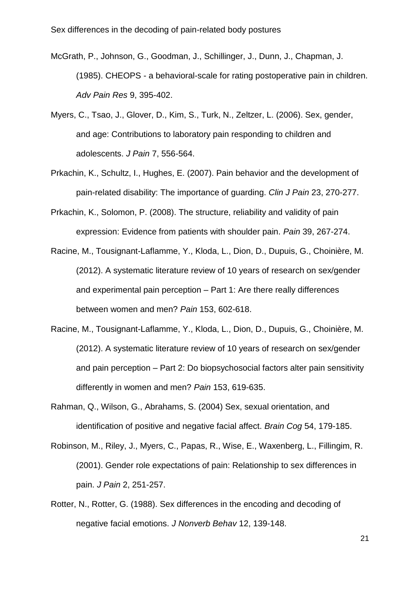- McGrath, P., Johnson, G., Goodman, J., Schillinger, J., Dunn, J., Chapman, J. (1985). CHEOPS - a behavioral-scale for rating postoperative pain in children. *Adv Pain Res* 9, 395-402.
- Myers, C., Tsao, J., Glover, D., Kim, S., Turk, N., Zeltzer, L. (2006). Sex, gender, and age: Contributions to laboratory pain responding to children and adolescents. *J Pain* 7, 556-564.
- Prkachin, K., Schultz, I., Hughes, E. (2007). Pain behavior and the development of pain-related disability: The importance of guarding. *Clin J Pain* 23, 270-277.
- Prkachin, K., Solomon, P. (2008). The structure, reliability and validity of pain expression: Evidence from patients with shoulder pain. *Pain* 39, 267-274.
- Racine, M., Tousignant-Laflamme, Y., Kloda, L., Dion, D., Dupuis, G., Choinière, M. (2012). A systematic literature review of 10 years of research on sex/gender and experimental pain perception – Part 1: Are there really differences between women and men? *Pain* 153, 602-618.
- Racine, M., Tousignant-Laflamme, Y., Kloda, L., Dion, D., Dupuis, G., Choinière, M. (2012). A systematic literature review of 10 years of research on sex/gender and pain perception – Part 2: Do biopsychosocial factors alter pain sensitivity differently in women and men? *Pain* 153, 619-635.
- Rahman, Q., Wilson, G., Abrahams, S. (2004) Sex, sexual orientation, and identification of positive and negative facial affect. *Brain Cog* 54, 179-185.
- Robinson, M., Riley, J., Myers, C., Papas, R., Wise, E., Waxenberg, L., Fillingim, R. (2001). Gender role expectations of pain: Relationship to sex differences in pain. *J Pain* 2, 251-257.
- Rotter, N., Rotter, G. (1988). Sex differences in the encoding and decoding of negative facial emotions. *J Nonverb Behav* 12, 139-148.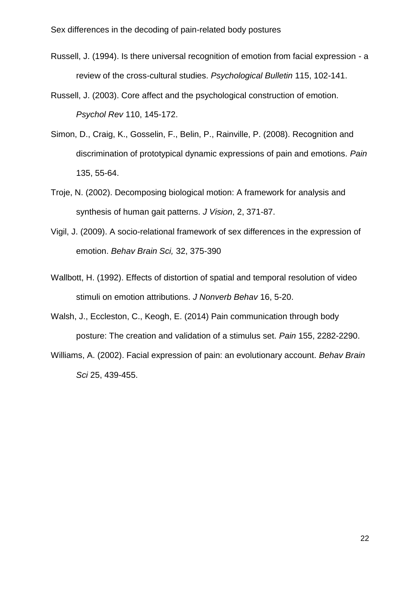- Russell, J. (1994). Is there universal recognition of emotion from facial expression a review of the cross-cultural studies. *Psychological Bulletin* 115, 102-141.
- Russell, J. (2003). Core affect and the psychological construction of emotion. *Psychol Rev* 110, 145-172.
- Simon, D., Craig, K., Gosselin, F., Belin, P., Rainville, P. (2008). Recognition and discrimination of prototypical dynamic expressions of pain and emotions. *Pain* 135, 55-64.
- Troje, N. (2002). Decomposing biological motion: A framework for analysis and synthesis of human gait patterns. *J Vision*, 2, 371-87.
- Vigil, J. (2009). A socio-relational framework of sex differences in the expression of emotion. *Behav Brain Sci,* 32, 375-390
- Wallbott, H. (1992). Effects of distortion of spatial and temporal resolution of video stimuli on emotion attributions. *J Nonverb Behav* 16, 5-20.
- Walsh, J., Eccleston, C., Keogh, E. (2014) Pain communication through body posture: The creation and validation of a stimulus set. *Pain* 155, 2282-2290.
- Williams, A. (2002). Facial expression of pain: an evolutionary account. *Behav Brain Sci* 25, 439-455.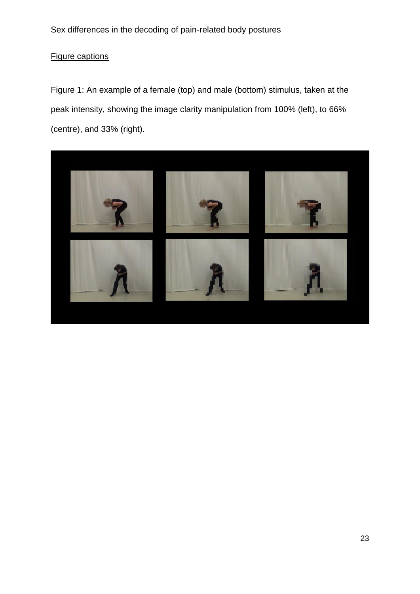# Figure captions

Figure 1: An example of a female (top) and male (bottom) stimulus, taken at the peak intensity, showing the image clarity manipulation from 100% (left), to 66% (centre), and 33% (right).

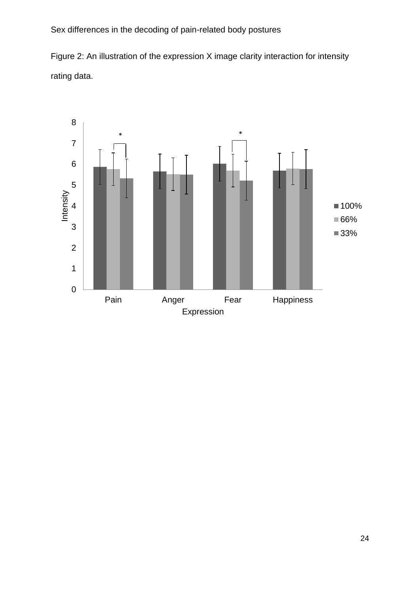Figure 2: An illustration of the expression X image clarity interaction for intensity rating data.

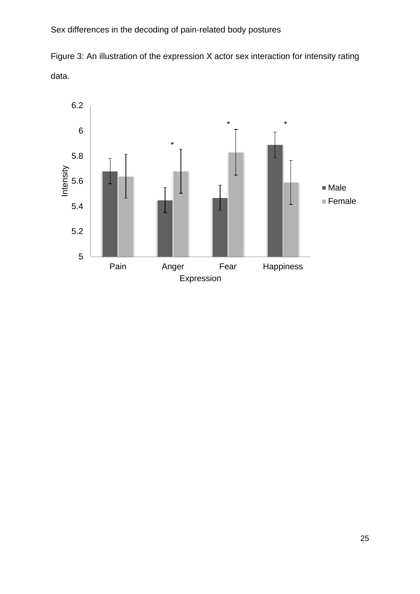Figure 3: An illustration of the expression X actor sex interaction for intensity rating data.

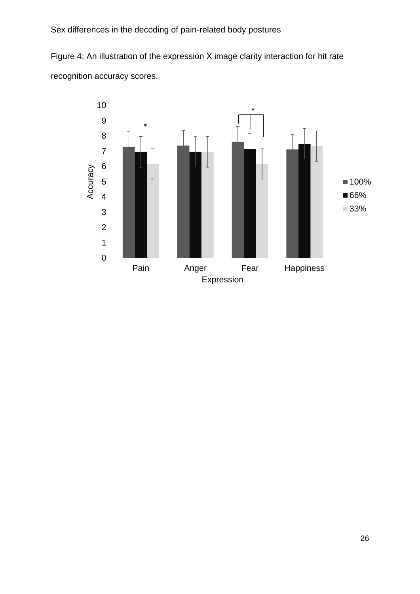Figure 4: An illustration of the expression X image clarity interaction for hit rate recognition accuracy scores.

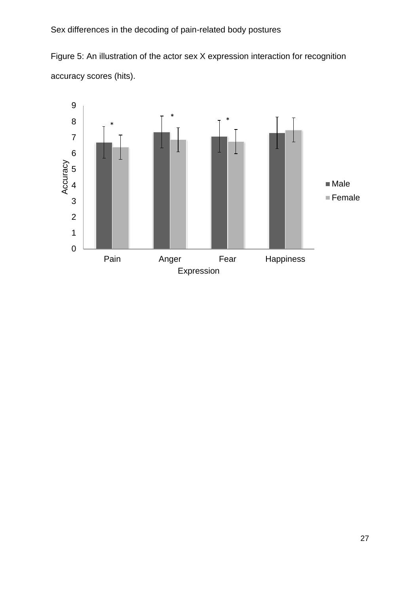Figure 5: An illustration of the actor sex X expression interaction for recognition accuracy scores (hits).

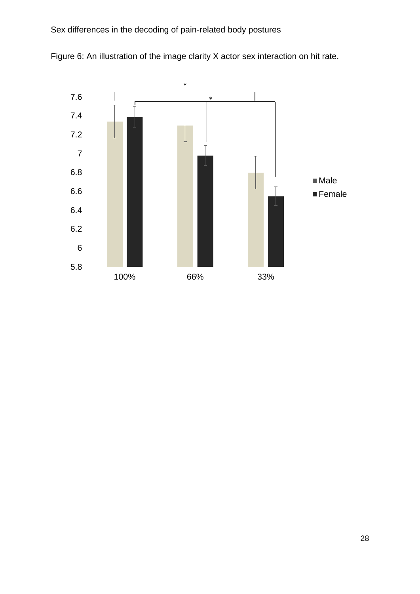

Figure 6: An illustration of the image clarity X actor sex interaction on hit rate.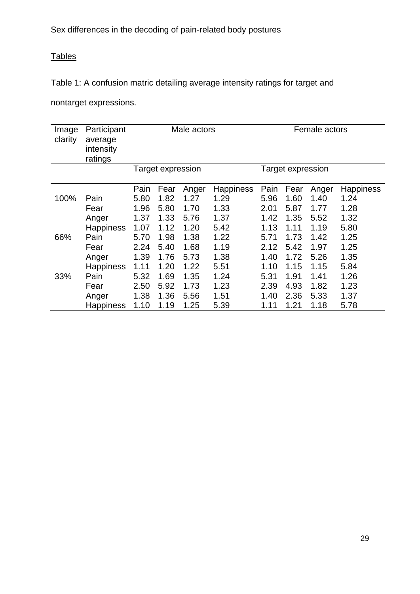# **Tables**

Table 1: A confusion matric detailing average intensity ratings for target and

nontarget expressions.

| Image<br>clarity | Participant<br>average<br>intensity<br>ratings | Male actors       |      |       |                  | Female actors     |      |       |                  |
|------------------|------------------------------------------------|-------------------|------|-------|------------------|-------------------|------|-------|------------------|
|                  |                                                | Target expression |      |       |                  | Target expression |      |       |                  |
|                  |                                                | Pain              | Fear | Anger | <b>Happiness</b> | Pain              | Fear | Anger | <b>Happiness</b> |
| 100%             | Pain                                           | 5.80              | 1.82 | 1.27  | 1.29             | 5.96              | 1.60 | 1.40  | 1.24             |
|                  | Fear                                           | 1.96              | 5.80 | 1.70  | 1.33             | 2.01              | 5.87 | 1.77  | 1.28             |
|                  | Anger                                          | 1.37              | 1.33 | 5.76  | 1.37             | 1.42              | 1.35 | 5.52  | 1.32             |
|                  | Happiness                                      | 1.07              | 1.12 | 1.20  | 5.42             | 1.13              | 1.11 | 1.19  | 5.80             |
| 66%              | Pain                                           | 5.70              | 1.98 | 1.38  | 1.22             | 5.71              | 1.73 | 1.42  | 1.25             |
|                  | Fear                                           | 2.24              | 5.40 | 1.68  | 1.19             | 2.12              | 5.42 | 1.97  | 1.25             |
|                  | Anger                                          | 1.39              | 1.76 | 5.73  | 1.38             | 1.40              | 1.72 | 5.26  | 1.35             |
|                  | Happiness                                      | 1.11              | 1.20 | 1.22  | 5.51             | 1.10              | 1.15 | 1.15  | 5.84             |
| 33%              | Pain                                           | 5.32              | 1.69 | 1.35  | 1.24             | 5.31              | 1.91 | 1.41  | 1.26             |
|                  | Fear                                           | 2.50              | 5.92 | 1.73  | 1.23             | 2.39              | 4.93 | 1.82  | 1.23             |
|                  | Anger                                          | 1.38              | 1.36 | 5.56  | 1.51             | 1.40              | 2.36 | 5.33  | 1.37             |
|                  | Happiness                                      | 1.10              | 1.19 | 1.25  | 5.39             | 1.11              | 1.21 | 1.18  | 5.78             |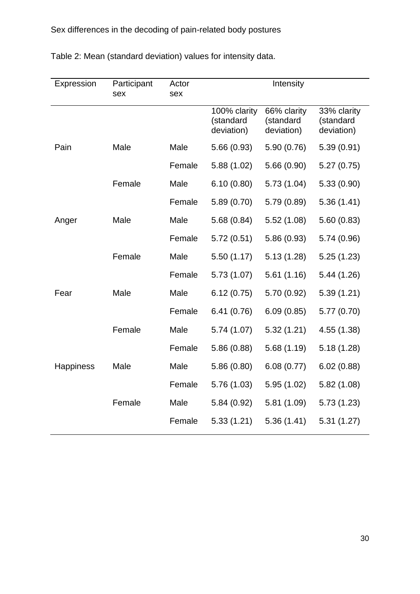| Expression       | Participant<br>sex | Actor<br>sex | Intensity                               |                                        |                                        |
|------------------|--------------------|--------------|-----------------------------------------|----------------------------------------|----------------------------------------|
|                  |                    |              | 100% clarity<br>(standard<br>deviation) | 66% clarity<br>(standard<br>deviation) | 33% clarity<br>(standard<br>deviation) |
| Pain             | Male               | Male         | 5.66(0.93)                              | 5.90 (0.76)                            | 5.39(0.91)                             |
|                  |                    | Female       | 5.88(1.02)                              | 5.66 (0.90)                            | 5.27(0.75)                             |
|                  | Female             | Male         | 6.10(0.80)                              | 5.73(1.04)                             | 5.33(0.90)                             |
|                  |                    | Female       | 5.89(0.70)                              | 5.79 (0.89)                            | 5.36(1.41)                             |
| Anger            | Male               | Male         | 5.68(0.84)                              | 5.52(1.08)                             | 5.60(0.83)                             |
|                  |                    | Female       | 5.72(0.51)                              | 5.86 (0.93)                            | 5.74 (0.96)                            |
|                  | Female             | Male         | 5.50(1.17)                              | 5.13(1.28)                             | 5.25(1.23)                             |
|                  |                    | Female       | 5.73(1.07)                              | 5.61(1.16)                             | 5.44(1.26)                             |
| Fear             | Male               | Male         | 6.12(0.75)                              | 5.70 (0.92)                            | 5.39(1.21)                             |
|                  |                    | Female       | 6.41(0.76)                              | 6.09(0.85)                             | 5.77(0.70)                             |
|                  | Female             | Male         | 5.74(1.07)                              | 5.32(1.21)                             | 4.55 (1.38)                            |
|                  |                    | Female       | 5.86 (0.88)                             | 5.68(1.19)                             | 5.18(1.28)                             |
| <b>Happiness</b> | Male               | Male         | 5.86 (0.80)                             | 6.08(0.77)                             | 6.02(0.88)                             |
|                  |                    | Female       | 5.76 (1.03)                             | 5.95(1.02)                             | 5.82(1.08)                             |
|                  | Female             | Male         | 5.84 (0.92)                             | 5.81(1.09)                             | 5.73(1.23)                             |
|                  |                    | Female       | 5.33(1.21)                              | 5.36(1.41)                             | 5.31(1.27)                             |

Table 2: Mean (standard deviation) values for intensity data.